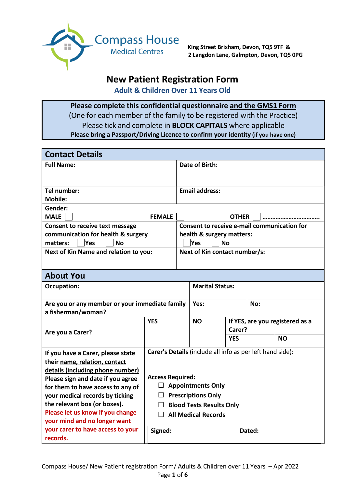

**King Street Brixham, Devon, TQ5 9TF & 2 Langdon Lane, Galmpton, Devon, TQ5 0PG**

# **New Patient Registration Form**

**Adult & Children Over 11 Years Old**

**Please complete this confidential questionnaire and the GMS1 Form** (One for each member of the family to be registered with the Practice) Please tick and complete in **BLOCK CAPITALS** where applicable **Please bring a Passport/Driving Licence to confirm your identity (if you have one)**

| <b>Contact Details</b>                                                  |                                            |        |                                                           |              |     |                                 |
|-------------------------------------------------------------------------|--------------------------------------------|--------|-----------------------------------------------------------|--------------|-----|---------------------------------|
| <b>Full Name:</b>                                                       |                                            |        | <b>Date of Birth:</b>                                     |              |     |                                 |
|                                                                         |                                            |        |                                                           |              |     |                                 |
| Tel number:                                                             |                                            |        | <b>Email address:</b>                                     |              |     |                                 |
| <b>Mobile:</b>                                                          |                                            |        |                                                           |              |     |                                 |
| Gender:                                                                 |                                            |        |                                                           |              |     |                                 |
| <b>MALE</b>                                                             | <b>FEMALE</b>                              |        |                                                           | <b>OTHER</b> |     |                                 |
| <b>Consent to receive text message</b>                                  |                                            |        | Consent to receive e-mail communication for               |              |     |                                 |
| communication for health & surgery<br>Yes<br><b>No</b><br>matters:      |                                            |        | health & surgery matters:<br><b>Yes</b>                   | <b>No</b>    |     |                                 |
| Next of Kin Name and relation to you:                                   |                                            |        | Next of Kin contact number/s:                             |              |     |                                 |
|                                                                         |                                            |        |                                                           |              |     |                                 |
| <b>About You</b>                                                        |                                            |        |                                                           |              |     |                                 |
| <b>Marital Status:</b><br><b>Occupation:</b>                            |                                            |        |                                                           |              |     |                                 |
| Are you or any member or your immediate family                          |                                            |        | Yes:                                                      |              | No: |                                 |
| a fisherman/woman?                                                      |                                            |        |                                                           |              |     |                                 |
|                                                                         | <b>YFS</b>                                 |        | <b>NO</b>                                                 |              |     | If YES, are you registered as a |
| Are you a Carer?                                                        |                                            |        |                                                           | Carer?       |     |                                 |
|                                                                         |                                            |        |                                                           | <b>YES</b>   |     | <b>NO</b>                       |
| If you have a Carer, please state                                       |                                            |        | Carer's Details (include all info as per left hand side): |              |     |                                 |
| their name, relation, contact                                           |                                            |        |                                                           |              |     |                                 |
| details (including phone number)                                        |                                            |        |                                                           |              |     |                                 |
| Please sign and date if you agree                                       | <b>Access Required:</b>                    |        |                                                           |              |     |                                 |
| <b>Appointments Only</b><br>$\Box$<br>for them to have access to any of |                                            |        |                                                           |              |     |                                 |
| your medical records by ticking                                         | $\Box$ Prescriptions Only                  |        |                                                           |              |     |                                 |
| the relevant box (or boxes).                                            | <b>Blood Tests Results Only</b><br>$\perp$ |        |                                                           |              |     |                                 |
| Please let us know if you change<br>your mind and no longer want        |                                            |        | <b>All Medical Records</b>                                |              |     |                                 |
| your carer to have access to your                                       | Signed:                                    | Dated: |                                                           |              |     |                                 |
| records.                                                                |                                            |        |                                                           |              |     |                                 |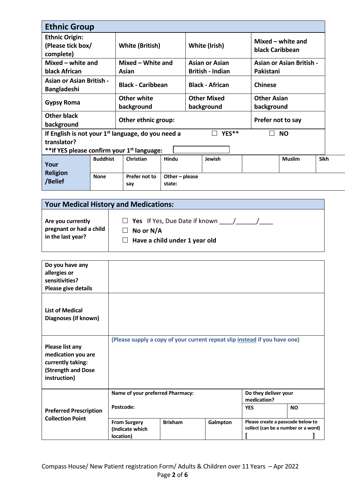| <b>Ethnic Group</b>                                                                                                           |                 |                          |                        |                         |           |                                      |             |
|-------------------------------------------------------------------------------------------------------------------------------|-----------------|--------------------------|------------------------|-------------------------|-----------|--------------------------------------|-------------|
| <b>Ethnic Origin:</b><br>(Please tick box/<br>complete)                                                                       |                 | <b>White (British)</b>   |                        | White (Irish)           |           | Mixed – white and<br>black Caribbean |             |
| Mixed $-$ white and                                                                                                           |                 | Mixed - White and        |                        | <b>Asian or Asian</b>   |           | <b>Asian or Asian British -</b>      |             |
| black African                                                                                                                 |                 | Asian                    |                        | <b>British - Indian</b> | Pakistani |                                      |             |
| <b>Asian or Asian British -</b><br><b>Bangladeshi</b>                                                                         |                 | <b>Black - Caribbean</b> |                        | <b>Black - African</b>  |           | <b>Chinese</b>                       |             |
| <b>Gypsy Roma</b>                                                                                                             |                 | <b>Other white</b>       |                        | <b>Other Mixed</b>      |           | <b>Other Asian</b>                   |             |
|                                                                                                                               |                 | background               |                        | background              |           | background                           |             |
| <b>Other black</b><br>background                                                                                              |                 | Other ethnic group:      |                        |                         |           | Prefer not to say                    |             |
| If English is not your $1st$ language, do you need a<br>translator?<br>**If YES please confirm your 1 <sup>st</sup> language: |                 |                          |                        | YES**                   |           | <b>NO</b>                            |             |
| Your                                                                                                                          | <b>Buddhist</b> | Christian                | Hindu                  | Jewish                  |           | <b>Muslim</b>                        | <b>Sikh</b> |
| <b>Religion</b><br>/Belief                                                                                                    | <b>None</b>     | Prefer not to<br>say     | Other-please<br>state: |                         |           |                                      |             |

# **Your Medical History and Medications:**

| Do you have any<br>allergies or<br>sensitivities?<br>Please give details                                |                                                                            |                |                         |                                                                          |  |
|---------------------------------------------------------------------------------------------------------|----------------------------------------------------------------------------|----------------|-------------------------|--------------------------------------------------------------------------|--|
| <b>List of Medical</b><br>Diagnoses (if known)                                                          |                                                                            |                |                         |                                                                          |  |
| <b>Please list any</b><br>medication you are<br>currently taking:<br>(Strength and Dose<br>instruction) | (Please supply a copy of your current repeat slip instead if you have one) |                |                         |                                                                          |  |
|                                                                                                         | Name of your preferred Pharmacy:                                           |                |                         | Do they deliver your<br>medication?                                      |  |
| <b>Preferred Prescription</b><br><b>Collection Point</b>                                                | Postcode:                                                                  |                | <b>NO</b><br><b>YES</b> |                                                                          |  |
|                                                                                                         | <b>From Surgery</b><br>(Indicate which<br>location)                        | <b>Brixham</b> | Galmpton                | Please create a passcode below to<br>collect (can be a number or a word) |  |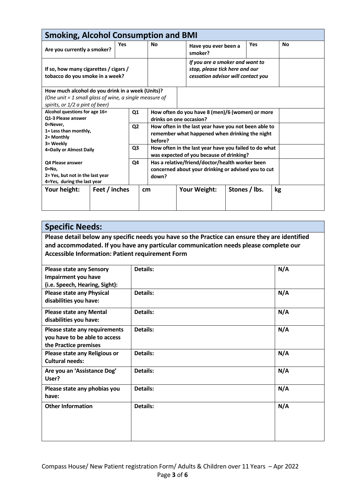| <b>Smoking, Alcohol Consumption and BMI</b>                                                                                                                                   |               |     |                                                                                                         |                                                                                                        |  |     |           |  |
|-------------------------------------------------------------------------------------------------------------------------------------------------------------------------------|---------------|-----|---------------------------------------------------------------------------------------------------------|--------------------------------------------------------------------------------------------------------|--|-----|-----------|--|
| Are you currently a smoker?                                                                                                                                                   |               | Yes | <b>No</b>                                                                                               | Have you ever been a<br>smoker?                                                                        |  | Yes | <b>No</b> |  |
| If so, how many cigarettes / cigars /<br>tobacco do you smoke in a week?                                                                                                      |               |     | If you are a smoker and want to<br>stop, please tick here and our<br>cessation advisor will contact you |                                                                                                        |  |     |           |  |
| How much alcohol do you drink in a week (Units)?                                                                                                                              |               |     |                                                                                                         |                                                                                                        |  |     |           |  |
| (One unit = 1 small glass of wine, a single measure of                                                                                                                        |               |     |                                                                                                         |                                                                                                        |  |     |           |  |
| spirits, or 1/2 a pint of beer)<br>Alcohol questions for age 16+<br>Q <sub>1</sub><br>Q1-3 Please answer<br>0=Never.<br>Q <sub>2</sub><br>1= Less than monthly,<br>2= Monthly |               |     | How often do you have 8 (men)/6 (women) or more<br>drinks on one occasion?                              |                                                                                                        |  |     |           |  |
|                                                                                                                                                                               |               |     | before?                                                                                                 | How often in the last year have you not been able to<br>remember what happened when drinking the night |  |     |           |  |
| 3= Weekly<br>Q <sub>3</sub><br>4=Daily or Almost Daily                                                                                                                        |               |     |                                                                                                         | How often in the last year have you failed to do what<br>was expected of you because of drinking?      |  |     |           |  |
| Q4<br>Q4 Please answer<br>0=No,<br>2= Yes, but not in the last year<br>4=Yes, during the last year                                                                            |               |     | down?                                                                                                   | Has a relative/friend/doctor/health worker been<br>concerned about your drinking or advised you to cut |  |     |           |  |
| Your height:                                                                                                                                                                  | Feet / inches |     | cm                                                                                                      | Stones / lbs.<br>Your Weight:                                                                          |  |     | kg        |  |
|                                                                                                                                                                               |               |     |                                                                                                         |                                                                                                        |  |     |           |  |

# **Specific Needs:**

**Please detail below any specific needs you have so the Practice can ensure they are identified and accommodated. If you have any particular communication needs please complete our Accessible Information: Patient requirement Form**

| <b>Please state any Sensory</b><br>Impairment you have                                  | Details:        | N/A |
|-----------------------------------------------------------------------------------------|-----------------|-----|
| (i.e. Speech, Hearing, Sight):                                                          |                 |     |
| <b>Please state any Physical</b><br>disabilities you have:                              | Details:        | N/A |
| <b>Please state any Mental</b><br>disabilities you have:                                | <b>Details:</b> | N/A |
| Please state any requirements<br>you have to be able to access<br>the Practice premises | Details:        | N/A |
| Please state any Religious or<br><b>Cultural needs:</b>                                 | Details:        | N/A |
| Are you an 'Assistance Dog'<br>User?                                                    | <b>Details:</b> | N/A |
| Please state any phobias you<br>have:                                                   | <b>Details:</b> | N/A |
| <b>Other Information</b>                                                                | <b>Details:</b> | N/A |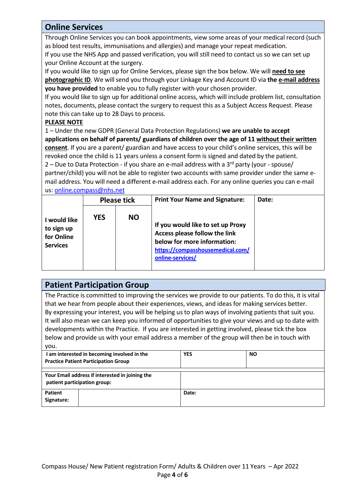# **Online Services**

Through Online Services you can book appointments, view some areas of your medical record (such as blood test results, immunisations and allergies) and manage your repeat medication.

If you use the NHS App and passed verification, you will still need to contact us so we can set up your Online Account at the surgery.

If you would like to sign up for Online Services, please sign the box below. We will **need to see photographic ID**. We will send you through your Linkage Key and Account ID via **the e-mail address you have provided** to enable you to fully register with your chosen provider.

If you would like to sign up for additional online access, which will include problem list, consultation notes, documents, please contact the surgery to request this as a Subject Access Request. Please note this can take up to 28 Days to process.

### **PLEASE NOTE**

1 – Under the new GDPR (General Data Protection Regulations) **we are unable to accept applications on behalf of parents/ guardians of children over the age of 11 without their written consent**. If you are a parent/ guardian and have access to your child's online services, this will be revoked once the child is 11 years unless a consent form is signed and dated by the patient. 2 – Due to Data Protection - if you share an e-mail address with a  $3<sup>rd</sup>$  party (your - spouse/ partner/child) you will not be able to register two accounts with same provider under the same email address. You will need a different e-mail address each. For any online queries you can e-mail us: [online.compass@nhs.net](mailto:online.compass@nhs.net)

|                                                             | <b>Please tick</b> |           | <b>Print Your Name and Signature:</b>                                                                                                                     | Date: |
|-------------------------------------------------------------|--------------------|-----------|-----------------------------------------------------------------------------------------------------------------------------------------------------------|-------|
| I would like<br>to sign up<br>for Online<br><b>Services</b> | <b>YES</b>         | <b>NO</b> | If you would like to set up Proxy<br>Access please follow the link<br>below for more information:<br>https://compasshousemedical.com/<br>online-services/ |       |

# **Patient Participation Group**

The Practice is committed to improving the services we provide to our patients. To do this, it is vital that we hear from people about their experiences, views, and ideas for making services better. By expressing your interest, you will be helping us to plan ways of involving patients that suit you. It will also mean we can keep you informed of opportunities to give your views and up to date with developments within the Practice. If you are interested in getting involved, please tick the box below and provide us with your email address a member of the group will then be in touch with you.

|                              | I am interested in becoming involved in the<br><b>Practice Patient Participation Group</b> | <b>YES</b> | <b>NO</b> |
|------------------------------|--------------------------------------------------------------------------------------------|------------|-----------|
|                              | Your Email address if interested in joining the<br>patient participation group:            |            |           |
| <b>Patient</b><br>Signature: |                                                                                            | Date:      |           |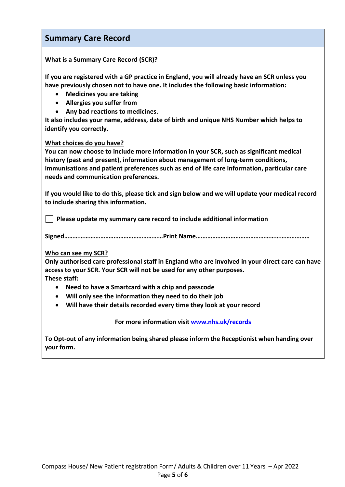# **Summary Care Record**

### **What is a Summary Care Record (SCR)?**

**If you are registered with a GP practice in England, you will already have an SCR unless you have previously chosen not to have one. It includes the following basic information:** 

- **Medicines you are taking**
- **Allergies you suffer from**
- **Any bad reactions to medicines.**

**It also includes your name, address, date of birth and unique NHS Number which helps to identify you correctly.**

#### **What choices do you have?**

**You can now choose to include more information in your SCR, such as significant medical history (past and present), information about management of long-term conditions, immunisations and patient preferences such as end of life care information, particular care needs and communication preferences.** 

**If you would like to do this, please tick and sign below and we will update your medical record to include sharing this information.**

 **Please update my summary care record to include additional information**

**Signed……………………………………………………Print Name……………………………………………………………**

#### **Who can see my SCR?**

**Only authorised care professional staff in England who are involved in your direct care can have access to your SCR. Your SCR will not be used for any other purposes. These staff:** 

- **Need to have a Smartcard with a chip and passcode**
- **Will only see the information they need to do their job**
- **Will have their details recorded every time they look at your record**

**For more information visi[t www.nhs.uk/records](http://www.nhs.uk/records)**

**To Opt-out of any information being shared please inform the Receptionist when handing over your form.**